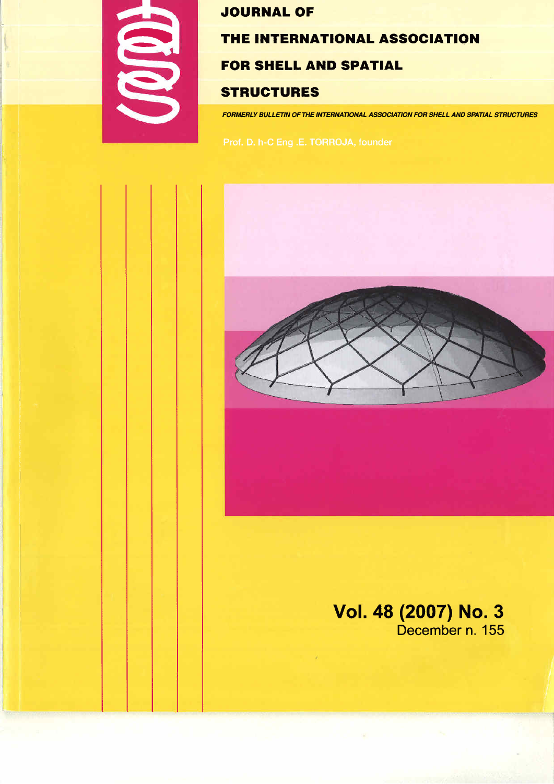

# **JOURNAL OF**

### THE INTERNATIONAL ASSOCIATION

## **FOR SHELL AND SPATIAL**

# **STRUCTURES**

FORMERLY BULLETIN OF THE INTERNATIONAL ASSOCIATION FOR SHELL AND SPATIAL STRUCTURES



# Vol. 48 (2007) No. 3<br>December n. 155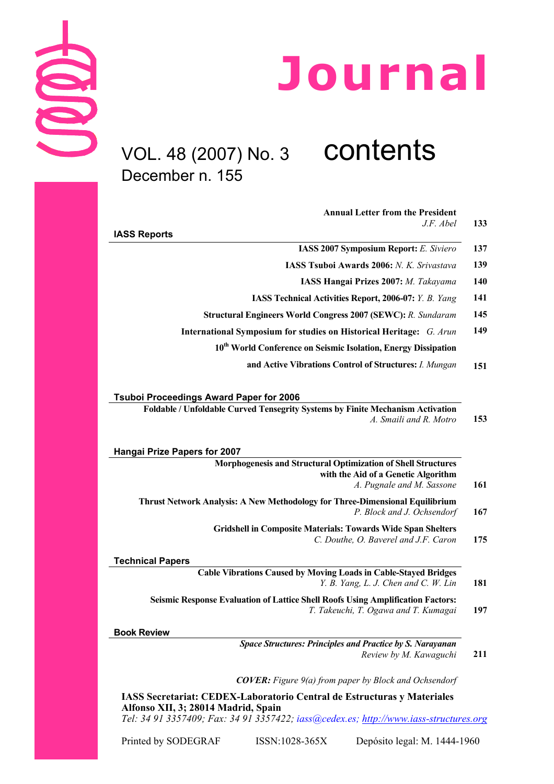

# VOL. 48 (2007) No. 3 contents December n. 155

| <b>Annual Letter from the President</b>                                                                                                                                  |
|--------------------------------------------------------------------------------------------------------------------------------------------------------------------------|
| J.F. Abel<br><b>IASS Reports</b>                                                                                                                                         |
| <b>IASS 2007 Symposium Report:</b> E. Siviero                                                                                                                            |
| IASS Tsuboi Awards 2006: N. K. Srivastava                                                                                                                                |
| IASS Hangai Prizes 2007: M. Takayama                                                                                                                                     |
| IASS Technical Activities Report, 2006-07: Y. B. Yang                                                                                                                    |
| <b>Structural Engineers World Congress 2007 (SEWC): R. Sundaram</b>                                                                                                      |
| International Symposium for studies on Historical Heritage: G. Arun                                                                                                      |
| 10 <sup>th</sup> World Conference on Seismic Isolation, Energy Dissipation                                                                                               |
| and Active Vibrations Control of Structures: I. Mungan                                                                                                                   |
| <b>Tsuboi Proceedings Award Paper for 2006</b>                                                                                                                           |
| Foldable / Unfoldable Curved Tensegrity Systems by Finite Mechanism Activation<br>A. Smaili and R. Motro                                                                 |
| <b>Hangai Prize Papers for 2007</b><br>Morphogenesis and Structural Optimization of Shell Structures<br>with the Aid of a Genetic Algorithm<br>A. Pugnale and M. Sassone |
| Thrust Network Analysis: A New Methodology for Three-Dimensional Equilibrium<br>P. Block and J. Ochsendorf                                                               |
| <b>Gridshell in Composite Materials: Towards Wide Span Shelters</b><br>C. Douthe, O. Baverel and J.F. Caron                                                              |
| <b>Technical Papers</b>                                                                                                                                                  |
| <b>Cable Vibrations Caused by Moving Loads in Cable-Stayed Bridges</b><br>Y. B. Yang, L. J. Chen and C. W. Lin                                                           |
| Seismic Response Evaluation of Lattice Shell Roofs Using Amplification Factors:<br>T. Takeuchi, T. Ogawa and T. Kumagai                                                  |
| <b>Book Review</b>                                                                                                                                                       |
| <b>Space Structures: Principles and Practice by S. Narayanan</b><br>Review by M. Kawaguchi                                                                               |
| <b>COVER:</b> Figure $9(a)$ from paper by Block and Ochsendorf                                                                                                           |
| LASS Secretoriat: CEDEV Laboratorio Central de Estructures y Materiales                                                                                                  |

**Secretariat: CEDEX-Laboratorio Central de Estructuras y Materiales Alfonso XII, 3; 28014 Madrid, Spain**  *Tel: 34 91 3357409; Fax: 34 91 3357422; iass@cedex.es; http://www.iass-structures.org*

Printed by SODEGRAF ISSN:1028-365X Depósito legal: M. 1444-1960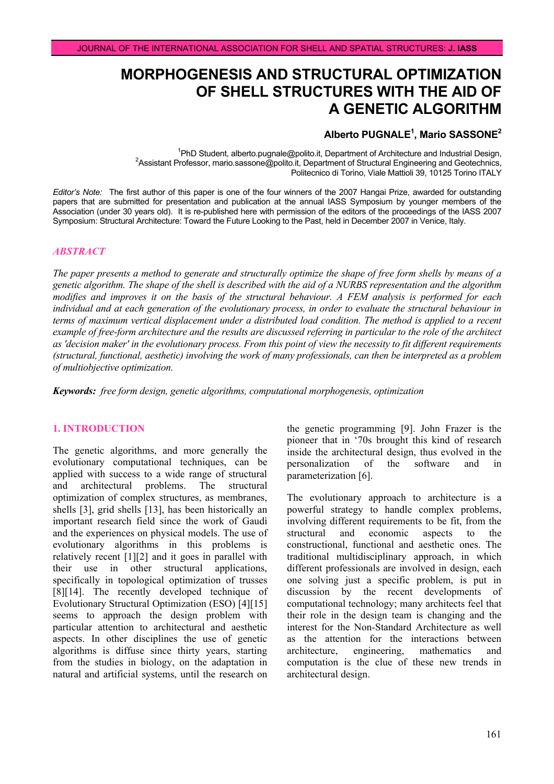# **MORPHOGENESIS AND STRUCTURAL OPTIMIZATION OF SHELL STRUCTURES WITH THE AID OF A GENETIC ALGORITHM**

#### **Alberto PUGNALE1 , Mario SASSONE2**

<sup>1</sup>PhD Student, alberto.pugnale@polito.it, Department of Architecture and Industrial Design,<br><sup>2</sup>Assistent Prefessor, marie sessone@polite.it, Department of Structurel Engineering and Costophnice. Assistant Professor, mario.sassone@polito.it, Department of Structural Engineering and Geotechnics, Politecnico di Torino, Viale Mattioli 39, 10125 Torino ITALY

*Editor's Note:*The first author of this paper is one of the four winners of the 2007 Hangai Prize, awarded for outstanding papers that are submitted for presentation and publication at the annual IASS Symposium by younger members of the Association (under 30 years old). It is re-published here with permission of the editors of the proceedings of the IASS 2007 Symposium: Structural Architecture: Toward the Future Looking to the Past, held in December 2007 in Venice, Italy.

#### *ABSTRACT*

*The paper presents a method to generate and structurally optimize the shape of free form shells by means of a genetic algorithm. The shape of the shell is described with the aid of a NURBS representation and the algorithm modifies and improves it on the basis of the structural behaviour. A FEM analysis is performed for each individual and at each generation of the evolutionary process, in order to evaluate the structural behaviour in terms of maximum vertical displacement under a distributed load condition. The method is applied to a recent example of free-form architecture and the results are discussed referring in particular to the role of the architect as 'decision maker' in the evolutionary process. From this point of view the necessity to fit different requirements (structural, functional, aesthetic) involving the work of many professionals, can then be interpreted as a problem of multiobjective optimization.* 

*Keywords: free form design, genetic algorithms, computational morphogenesis, optimization* 

#### **1. INTRODUCTION**

The genetic algorithms, and more generally the evolutionary computational techniques, can be applied with success to a wide range of structural and architectural problems. The structural optimization of complex structures, as membranes, shells [3], grid shells [13], has been historically an important research field since the work of Gaudì and the experiences on physical models. The use of evolutionary algorithms in this problems is relatively recent [1][2] and it goes in parallel with their use in other structural applications, specifically in topological optimization of trusses [8][14]. The recently developed technique of Evolutionary Structural Optimization (ESO) [4][15] seems to approach the design problem with particular attention to architectural and aesthetic aspects. In other disciplines the use of genetic algorithms is diffuse since thirty years, starting from the studies in biology, on the adaptation in natural and artificial systems, until the research on

the genetic programming [9]. John Frazer is the pioneer that in '70s brought this kind of research inside the architectural design, thus evolved in the personalization of the software and in parameterization [6].

The evolutionary approach to architecture is a powerful strategy to handle complex problems, involving different requirements to be fit, from the structural and economic aspects to the constructional, functional and aesthetic ones. The traditional multidisciplinary approach, in which different professionals are involved in design, each one solving just a specific problem, is put in discussion by the recent developments of computational technology; many architects feel that their role in the design team is changing and the interest for the Non-Standard Architecture as well as the attention for the interactions between architecture, engineering, mathematics and computation is the clue of these new trends in architectural design.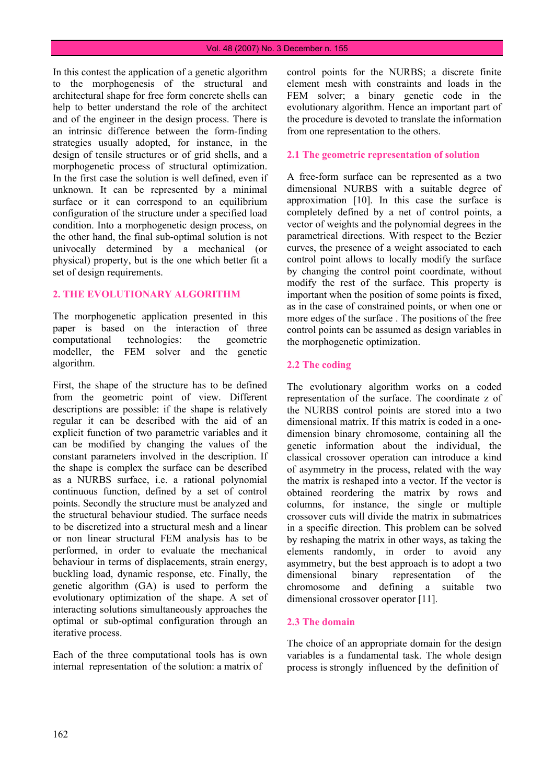#### Vol. 48 (2007) No. 3 December n. 155

In this contest the application of a genetic algorithm to the morphogenesis of the structural and architectural shape for free form concrete shells can help to better understand the role of the architect and of the engineer in the design process. There is an intrinsic difference between the form-finding strategies usually adopted, for instance, in the design of tensile structures or of grid shells, and a morphogenetic process of structural optimization. In the first case the solution is well defined, even if unknown. It can be represented by a minimal surface or it can correspond to an equilibrium configuration of the structure under a specified load condition. Into a morphogenetic design process, on the other hand, the final sub-optimal solution is not univocally determined by a mechanical (or physical) property, but is the one which better fit a set of design requirements.

#### **2. THE EVOLUTIONARY ALGORITHM**

The morphogenetic application presented in this paper is based on the interaction of three computational technologies: the geometric modeller, the FEM solver and the genetic algorithm.

First, the shape of the structure has to be defined from the geometric point of view. Different descriptions are possible: if the shape is relatively regular it can be described with the aid of an explicit function of two parametric variables and it can be modified by changing the values of the constant parameters involved in the description. If the shape is complex the surface can be described as a NURBS surface, i.e. a rational polynomial continuous function, defined by a set of control points. Secondly the structure must be analyzed and the structural behaviour studied. The surface needs to be discretized into a structural mesh and a linear or non linear structural FEM analysis has to be performed, in order to evaluate the mechanical behaviour in terms of displacements, strain energy, buckling load, dynamic response, etc. Finally, the genetic algorithm (GA) is used to perform the evolutionary optimization of the shape. A set of interacting solutions simultaneously approaches the optimal or sub-optimal configuration through an iterative process.

Each of the three computational tools has is own internal representation of the solution: a matrix of

control points for the NURBS; a discrete finite element mesh with constraints and loads in the FEM solver; a binary genetic code in the evolutionary algorithm. Hence an important part of the procedure is devoted to translate the information from one representation to the others.

#### **2.1 The geometric representation of solution**

A free-form surface can be represented as a two dimensional NURBS with a suitable degree of approximation [10]. In this case the surface is completely defined by a net of control points, a vector of weights and the polynomial degrees in the parametrical directions. With respect to the Bezier curves, the presence of a weight associated to each control point allows to locally modify the surface by changing the control point coordinate, without modify the rest of the surface. This property is important when the position of some points is fixed, as in the case of constrained points, or when one or more edges of the surface . The positions of the free control points can be assumed as design variables in the morphogenetic optimization.

#### **2.2 The coding**

The evolutionary algorithm works on a coded representation of the surface. The coordinate z of the NURBS control points are stored into a two dimensional matrix. If this matrix is coded in a onedimension binary chromosome, containing all the genetic information about the individual, the classical crossover operation can introduce a kind of asymmetry in the process, related with the way the matrix is reshaped into a vector. If the vector is obtained reordering the matrix by rows and columns, for instance, the single or multiple crossover cuts will divide the matrix in submatrices in a specific direction. This problem can be solved by reshaping the matrix in other ways, as taking the elements randomly, in order to avoid any asymmetry, but the best approach is to adopt a two dimensional binary representation of the chromosome and defining a suitable two dimensional crossover operator [11].

#### **2.3 The domain**

The choice of an appropriate domain for the design variables is a fundamental task. The whole design process is strongly influenced by the definition of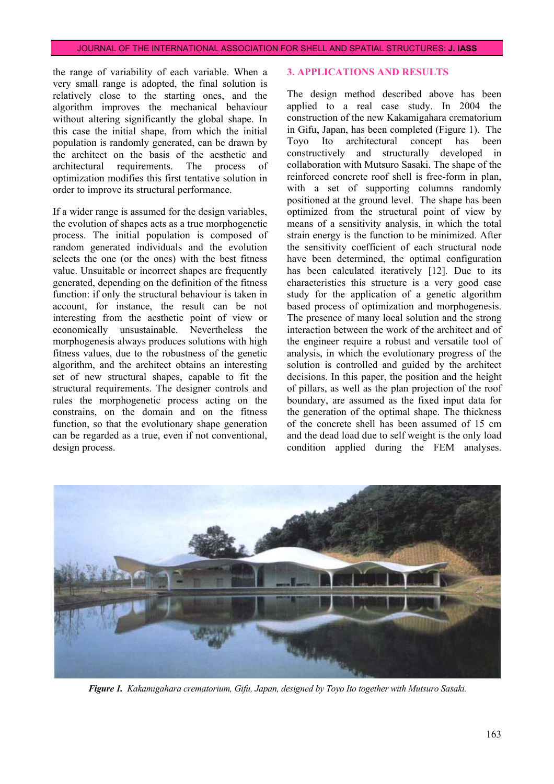the range of variability of each variable. When a very small range is adopted, the final solution is relatively close to the starting ones, and the algorithm improves the mechanical behaviour without altering significantly the global shape. In this case the initial shape, from which the initial population is randomly generated, can be drawn by the architect on the basis of the aesthetic and architectural requirements. The process of optimization modifies this first tentative solution in order to improve its structural performance.

If a wider range is assumed for the design variables, the evolution of shapes acts as a true morphogenetic process. The initial population is composed of random generated individuals and the evolution selects the one (or the ones) with the best fitness value. Unsuitable or incorrect shapes are frequently generated, depending on the definition of the fitness function: if only the structural behaviour is taken in account, for instance, the result can be not interesting from the aesthetic point of view or economically unsustainable. Nevertheless the morphogenesis always produces solutions with high fitness values, due to the robustness of the genetic algorithm, and the architect obtains an interesting set of new structural shapes, capable to fit the structural requirements. The designer controls and rules the morphogenetic process acting on the constrains, on the domain and on the fitness function, so that the evolutionary shape generation can be regarded as a true, even if not conventional, design process.

#### **3. APPLICATIONS AND RESULTS**

The design method described above has been applied to a real case study. In 2004 the construction of the new Kakamigahara crematorium in Gifu, Japan, has been completed (Figure 1). The Toyo Ito architectural concept has been constructively and structurally developed in collaboration with Mutsuro Sasaki. The shape of the reinforced concrete roof shell is free-form in plan, with a set of supporting columns randomly positioned at the ground level. The shape has been optimized from the structural point of view by means of a sensitivity analysis, in which the total strain energy is the function to be minimized. After the sensitivity coefficient of each structural node have been determined, the optimal configuration has been calculated iteratively [12]. Due to its characteristics this structure is a very good case study for the application of a genetic algorithm based process of optimization and morphogenesis. The presence of many local solution and the strong interaction between the work of the architect and of the engineer require a robust and versatile tool of analysis, in which the evolutionary progress of the solution is controlled and guided by the architect decisions. In this paper, the position and the height of pillars, as well as the plan projection of the roof boundary, are assumed as the fixed input data for the generation of the optimal shape. The thickness of the concrete shell has been assumed of 15 cm and the dead load due to self weight is the only load condition applied during the FEM analyses.



*Figure 1. Kakamigahara crematorium, Gifu, Japan, designed by Toyo Ito together with Mutsuro Sasaki.*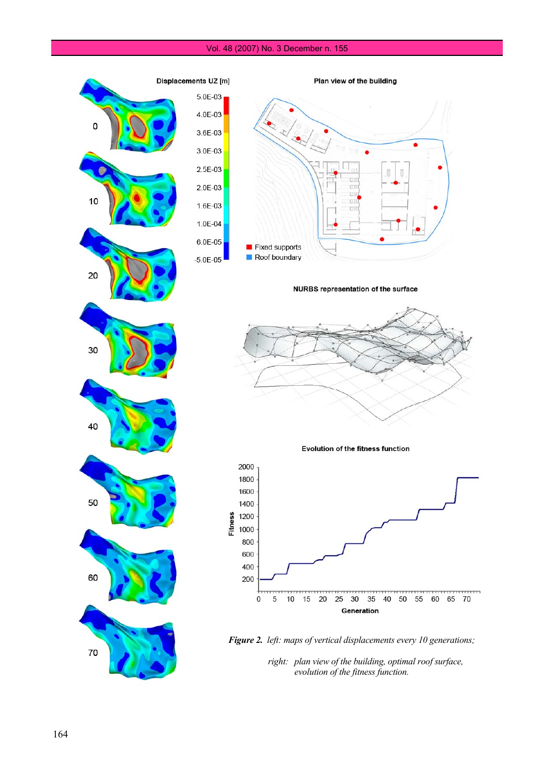#### Vol. 48 (2007) No. 3 December n. 155

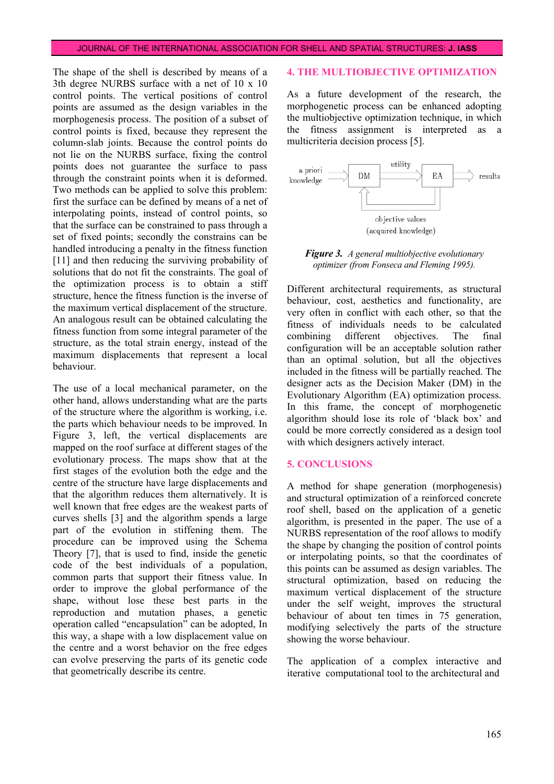The shape of the shell is described by means of a 3th degree NURBS surface with a net of 10 x 10 control points. The vertical positions of control points are assumed as the design variables in the morphogenesis process. The position of a subset of control points is fixed, because they represent the column-slab joints. Because the control points do not lie on the NURBS surface, fixing the control points does not guarantee the surface to pass through the constraint points when it is deformed. Two methods can be applied to solve this problem: first the surface can be defined by means of a net of interpolating points, instead of control points, so that the surface can be constrained to pass through a set of fixed points; secondly the constrains can be handled introducing a penalty in the fitness function [11] and then reducing the surviving probability of solutions that do not fit the constraints. The goal of the optimization process is to obtain a stiff structure, hence the fitness function is the inverse of the maximum vertical displacement of the structure. An analogous result can be obtained calculating the fitness function from some integral parameter of the structure, as the total strain energy, instead of the maximum displacements that represent a local behaviour.

The use of a local mechanical parameter, on the other hand, allows understanding what are the parts of the structure where the algorithm is working, i.e. the parts which behaviour needs to be improved. In Figure 3, left, the vertical displacements are mapped on the roof surface at different stages of the evolutionary process. The maps show that at the first stages of the evolution both the edge and the centre of the structure have large displacements and that the algorithm reduces them alternatively. It is well known that free edges are the weakest parts of curves shells [3] and the algorithm spends a large part of the evolution in stiffening them. The procedure can be improved using the Schema Theory [7], that is used to find, inside the genetic code of the best individuals of a population, common parts that support their fitness value. In order to improve the global performance of the shape, without lose these best parts in the reproduction and mutation phases, a genetic operation called "encapsulation" can be adopted, In this way, a shape with a low displacement value on the centre and a worst behavior on the free edges can evolve preserving the parts of its genetic code that geometrically describe its centre.

#### **4. THE MULTIOBJECTIVE OPTIMIZATION**

As a future development of the research, the morphogenetic process can be enhanced adopting the multiobjective optimization technique, in which the fitness assignment is interpreted as a multicriteria decision process [5].



*Figure 3. A general multiobjective evolutionary optimizer (from Fonseca and Fleming 1995).*

Different architectural requirements, as structural behaviour, cost, aesthetics and functionality, are very often in conflict with each other, so that the fitness of individuals needs to be calculated combining different objectives. The final configuration will be an acceptable solution rather than an optimal solution, but all the objectives included in the fitness will be partially reached. The designer acts as the Decision Maker (DM) in the Evolutionary Algorithm (EA) optimization process. In this frame, the concept of morphogenetic algorithm should lose its role of 'black box' and could be more correctly considered as a design tool with which designers actively interact.

#### **5. CONCLUSIONS**

A method for shape generation (morphogenesis) and structural optimization of a reinforced concrete roof shell, based on the application of a genetic algorithm, is presented in the paper. The use of a NURBS representation of the roof allows to modify the shape by changing the position of control points or interpolating points, so that the coordinates of this points can be assumed as design variables. The structural optimization, based on reducing the maximum vertical displacement of the structure under the self weight, improves the structural behaviour of about ten times in 75 generation, modifying selectively the parts of the structure showing the worse behaviour.

The application of a complex interactive and iterative computational tool to the architectural and